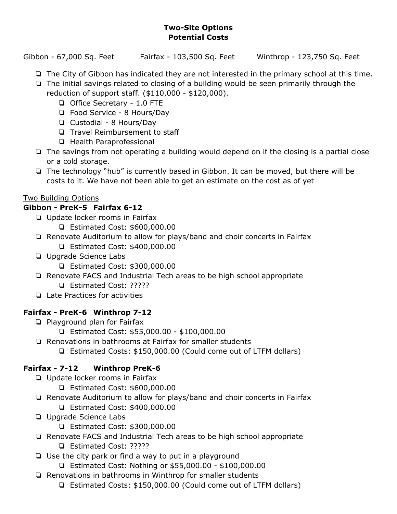#### **Two-Site Options Potential Costs**

Gibbon - 67,000 Sq. Feet Fairfax - 103,500 Sq. Feet Winthrop - 123,750 Sq. Feet

- ❏ The City of Gibbon has indicated they are not interested in the primary school at this time.
- ❏ The initial savings related to closing of a building would be seen primarily through the reduction of support staff. (\$110,000 - \$120,000).
	- ❏ Office Secretary 1.0 FTE
	- ❏ Food Service 8 Hours/Day
	- ❏ Custodial 8 Hours/Day
	- ❏ Travel Reimbursement to staff
	- ❏ Health Paraprofessional
- ❏ The savings from not operating a building would depend on if the closing is a partial close or a cold storage.
- ❏ The technology "hub" is currently based in Gibbon. It can be moved, but there will be costs to it. We have not been able to get an estimate on the cost as of yet

## Two Building Options

## **Gibbon - PreK-5 Fairfax 6-12**

- ❏ Update locker rooms in Fairfax
	- ❏ Estimated Cost: \$600,000.00
- ❏ Renovate Auditorium to allow for plays/band and choir concerts in Fairfax ❏ Estimated Cost: \$400,000.00
- ❏ Upgrade Science Labs
	- ❏ Estimated Cost: \$300,000.00
- ❏ Renovate FACS and Industrial Tech areas to be high school appropriate
	- ❏ Estimated Cost: ?????
- ❏ Late Practices for activities

# **Fairfax - PreK-6 Winthrop 7-12**

- ❏ Playground plan for Fairfax
	- ❏ Estimated Cost: \$55,000.00 \$100,000.00
- ❏ Renovations in bathrooms at Fairfax for smaller students
	- ❏ Estimated Costs: \$150,000.00 (Could come out of LTFM dollars)

# **Fairfax - 7-12 Winthrop PreK-6**

- ❏ Update locker rooms in Fairfax
	- ❏ Estimated Cost: \$600,000.00
- ❏ Renovate Auditorium to allow for plays/band and choir concerts in Fairfax ❏ Estimated Cost: \$400,000.00
- ❏ Upgrade Science Labs
	- ❏ Estimated Cost: \$300,000.00
- ❏ Renovate FACS and Industrial Tech areas to be high school appropriate ❏ Estimated Cost: ?????
- ❏ Use the city park or find a way to put in a playground
	- ❏ Estimated Cost: Nothing or \$55,000.00 \$100,000.00
- ❏ Renovations in bathrooms in Winthrop for smaller students
	- ❏ Estimated Costs: \$150,000.00 (Could come out of LTFM dollars)